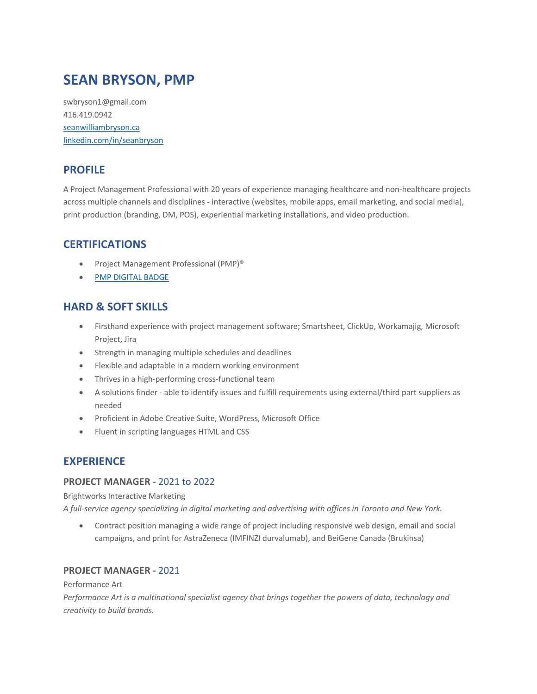# **SEAN BRYSON, PMP**

swbryson1@gmail.com 416.419.0942 seanwilliambryson.ca linkedin.com/in/seanbryson

## **PROFILE**

A Project Management Professional with 20 years of experience managing healthcare and non-healthcare projects across multiple channels and disciplines - interactive (websites, mobile apps, email marketing, and social media), print production (branding, DM, POS), experiential marketing installations, and video production.

## **CERTIFICATIONS**

- Project Management Professional (PMP)®
- PMP DIGITAL BADGE

## **HARD & SOFT SKILLS**

- Firsthand experience with project management software; Smartsheet, ClickUp, Workamajig, Microsoft Project, Jira
- Strength in managing multiple schedules and deadlines
- Flexible and adaptable in a modern working environment
- Thrives in a high-performing cross-functional team
- A solutions finder able to identify issues and fulfill requirements using external/third part suppliers as needed
- Proficient in Adobe Creative Suite, WordPress, Microsoft Office
- Fluent in scripting languages HTML and CSS

## **EXPERIENCE**

#### **PROJECT MANAGER -** 2021 to 2022

Brightworks Interactive Marketing

*A full-service agency specializing in digital marketing and advertising with offices in Toronto and New York.*

• Contract position managing a wide range of project including responsive web design, email and social campaigns, and print for AstraZeneca (IMFINZI durvalumab), and BeiGene Canada (Brukinsa)

### **PROJECT MANAGER -** 2021

#### Performance Art

*Performance Art is a multinational specialist agency that brings together the powers of data, technology and creativity to build brands.*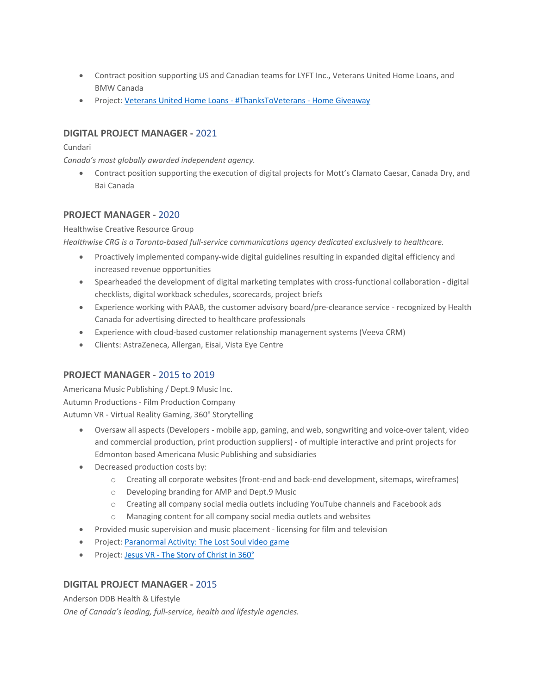- Contract position supporting US and Canadian teams for LYFT Inc., Veterans United Home Loans, and BMW Canada
- Project: Veterans United Home Loans #ThanksToVeterans Home Giveaway

#### **DIGITAL PROJECT MANAGER -** 2021

#### Cundari

*Canada's most globally awarded independent agency.* 

• Contract position supporting the execution of digital projects for Mott's Clamato Caesar, Canada Dry, and Bai Canada

#### **PROJECT MANAGER -** 2020

#### Healthwise Creative Resource Group

*Healthwise CRG is a Toronto-based full-service communications agency dedicated exclusively to healthcare.* 

- Proactively implemented company-wide digital guidelines resulting in expanded digital efficiency and increased revenue opportunities
- Spearheaded the development of digital marketing templates with cross-functional collaboration digital checklists, digital workback schedules, scorecards, project briefs
- Experience working with PAAB, the customer advisory board/pre-clearance service recognized by Health Canada for advertising directed to healthcare professionals
- Experience with cloud-based customer relationship management systems (Veeva CRM)
- Clients: AstraZeneca, Allergan, Eisai, Vista Eye Centre

#### **PROJECT MANAGER -** 2015 to 2019

Americana Music Publishing / Dept.9 Music Inc. Autumn Productions - Film Production Company Autumn VR - Virtual Reality Gaming, 360° Storytelling

- Oversaw all aspects (Developers mobile app, gaming, and web, songwriting and voice-over talent, video and commercial production, print production suppliers) - of multiple interactive and print projects for Edmonton based Americana Music Publishing and subsidiaries
- Decreased production costs by:
	- o Creating all corporate websites (front-end and back-end development, sitemaps, wireframes)
	- o Developing branding for AMP and Dept.9 Music
	- o Creating all company social media outlets including YouTube channels and Facebook ads
	- o Managing content for all company social media outlets and websites
- Provided music supervision and music placement licensing for film and television
- Project: Paranormal Activity: The Lost Soul video game
- Project: Jesus VR The Story of Christ in 360°

#### **DIGITAL PROJECT MANAGER -** 2015

Anderson DDB Health & Lifestyle

*One of Canada's leading, full-service, health and lifestyle agencies.*